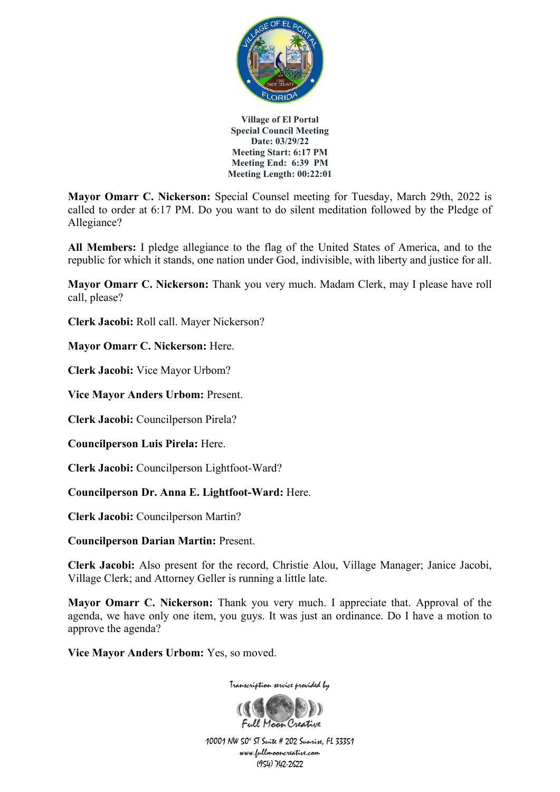

**Mayor Omarr C. Nickerson:** Special Counsel meeting for Tuesday, March 29th, 2022 is called to order at 6:17 PM. Do you want to do silent meditation followed by the Pledge of Allegiance?

**All Members:** I pledge allegiance to the flag of the United States of America, and to the republic for which it stands, one nation under God, indivisible, with liberty and justice for all.

**Mayor Omarr C. Nickerson:** Thank you very much. Madam Clerk, may I please have roll call, please?

**Clerk Jacobi:** Roll call. Mayer Nickerson?

**Mayor Omarr C. Nickerson:** Here.

**Clerk Jacobi:** Vice Mayor Urbom?

**Vice Mayor Anders Urbom:** Present.

**Clerk Jacobi:** Councilperson Pirela?

**Councilperson Luis Pirela:** Here.

**Clerk Jacobi:** Councilperson Lightfoot-Ward?

**Councilperson Dr. Anna E. Lightfoot-Ward:** Here.

**Clerk Jacobi:** Councilperson Martin?

**Councilperson Darian Martin:** Present.

**Clerk Jacobi:** Also present for the record, Christie Alou, Village Manager; Janice Jacobi, Village Clerk; and Attorney Geller is running a little late.

**Mayor Omarr C. Nickerson:** Thank you very much. I appreciate that. Approval of the agenda, we have only one item, you guys. It was just an ordinance. Do I have a motion to approve the agenda?

**Vice Mayor Anders Urbom:** Yes, so moved.

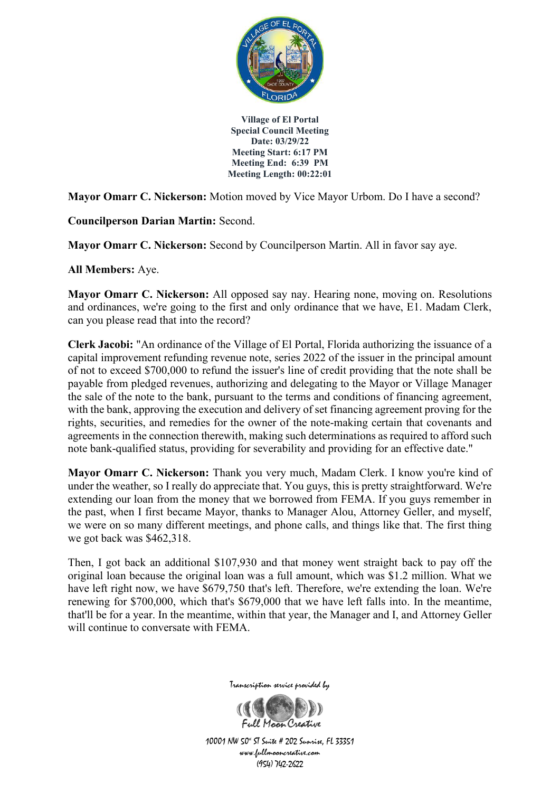

**Mayor Omarr C. Nickerson:** Motion moved by Vice Mayor Urbom. Do I have a second?

**Councilperson Darian Martin:** Second.

**Mayor Omarr C. Nickerson:** Second by Councilperson Martin. All in favor say aye.

**All Members:** Aye.

**Mayor Omarr C. Nickerson:** All opposed say nay. Hearing none, moving on. Resolutions and ordinances, we're going to the first and only ordinance that we have, E1. Madam Clerk, can you please read that into the record?

**Clerk Jacobi:** "An ordinance of the Village of El Portal, Florida authorizing the issuance of a capital improvement refunding revenue note, series 2022 of the issuer in the principal amount of not to exceed \$700,000 to refund the issuer's line of credit providing that the note shall be payable from pledged revenues, authorizing and delegating to the Mayor or Village Manager the sale of the note to the bank, pursuant to the terms and conditions of financing agreement, with the bank, approving the execution and delivery of set financing agreement proving for the rights, securities, and remedies for the owner of the note-making certain that covenants and agreements in the connection therewith, making such determinations as required to afford such note bank-qualified status, providing for severability and providing for an effective date."

**Mayor Omarr C. Nickerson:** Thank you very much, Madam Clerk. I know you're kind of under the weather, so I really do appreciate that. You guys, this is pretty straightforward. We're extending our loan from the money that we borrowed from FEMA. If you guys remember in the past, when I first became Mayor, thanks to Manager Alou, Attorney Geller, and myself, we were on so many different meetings, and phone calls, and things like that. The first thing we got back was \$462,318.

Then, I got back an additional \$107,930 and that money went straight back to pay off the original loan because the original loan was a full amount, which was \$1.2 million. What we have left right now, we have \$679,750 that's left. Therefore, we're extending the loan. We're renewing for \$700,000, which that's \$679,000 that we have left falls into. In the meantime, that'll be for a year. In the meantime, within that year, the Manager and I, and Attorney Geller will continue to conversate with FEMA.



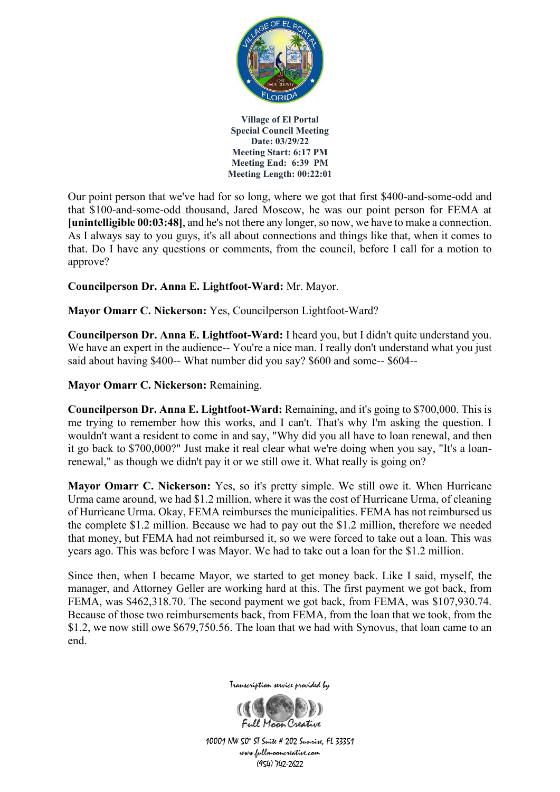

Our point person that we've had for so long, where we got that first \$400-and-some-odd and that \$100-and-some-odd thousand, Jared Moscow, he was our point person for FEMA at **[unintelligible 00:03:48]**, and he's not there any longer, so now, we have to make a connection. As I always say to you guys, it's all about connections and things like that, when it comes to that. Do I have any questions or comments, from the council, before I call for a motion to approve?

**Councilperson Dr. Anna E. Lightfoot-Ward:** Mr. Mayor.

**Mayor Omarr C. Nickerson:** Yes, Councilperson Lightfoot-Ward?

**Councilperson Dr. Anna E. Lightfoot-Ward:** I heard you, but I didn't quite understand you. We have an expert in the audience-- You're a nice man. I really don't understand what you just said about having \$400-- What number did you say? \$600 and some-- \$604--

**Mayor Omarr C. Nickerson:** Remaining.

**Councilperson Dr. Anna E. Lightfoot-Ward:** Remaining, and it's going to \$700,000. This is me trying to remember how this works, and I can't. That's why I'm asking the question. I wouldn't want a resident to come in and say, "Why did you all have to loan renewal, and then it go back to \$700,000?" Just make it real clear what we're doing when you say, "It's a loanrenewal," as though we didn't pay it or we still owe it. What really is going on?

**Mayor Omarr C. Nickerson:** Yes, so it's pretty simple. We still owe it. When Hurricane Urma came around, we had \$1.2 million, where it was the cost of Hurricane Urma, of cleaning of Hurricane Urma. Okay, FEMA reimburses the municipalities. FEMA has not reimbursed us the complete \$1.2 million. Because we had to pay out the \$1.2 million, therefore we needed that money, but FEMA had not reimbursed it, so we were forced to take out a loan. This was years ago. This was before I was Mayor. We had to take out a loan for the \$1.2 million.

Since then, when I became Mayor, we started to get money back. Like I said, myself, the manager, and Attorney Geller are working hard at this. The first payment we got back, from FEMA, was \$462,318.70. The second payment we got back, from FEMA, was \$107,930.74. Because of those two reimbursements back, from FEMA, from the loan that we took, from the \$1.2, we now still owe \$679,750.56. The loan that we had with Synovus, that loan came to an end.



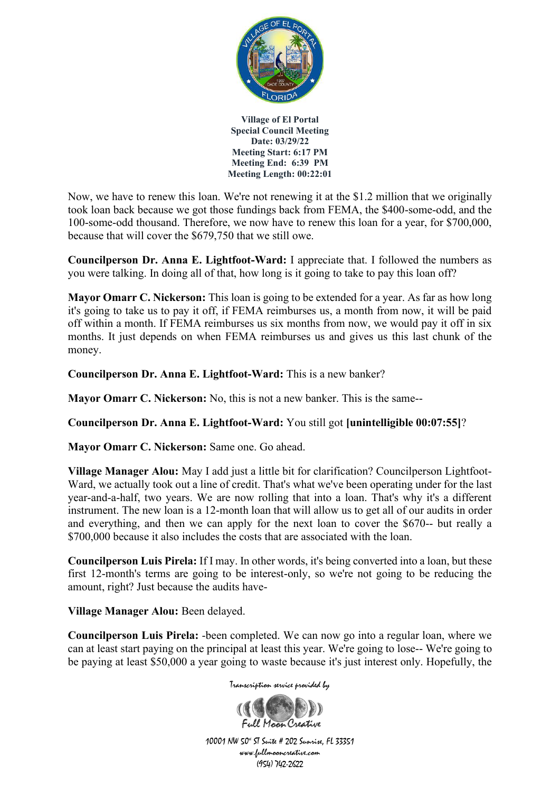

Now, we have to renew this loan. We're not renewing it at the \$1.2 million that we originally took loan back because we got those fundings back from FEMA, the \$400-some-odd, and the 100-some-odd thousand. Therefore, we now have to renew this loan for a year, for \$700,000, because that will cover the \$679,750 that we still owe.

**Councilperson Dr. Anna E. Lightfoot-Ward:** I appreciate that. I followed the numbers as you were talking. In doing all of that, how long is it going to take to pay this loan off?

**Mayor Omarr C. Nickerson:** This loan is going to be extended for a year. As far as how long it's going to take us to pay it off, if FEMA reimburses us, a month from now, it will be paid off within a month. If FEMA reimburses us six months from now, we would pay it off in six months. It just depends on when FEMA reimburses us and gives us this last chunk of the money.

**Councilperson Dr. Anna E. Lightfoot-Ward:** This is a new banker?

**Mayor Omarr C. Nickerson:** No, this is not a new banker. This is the same--

**Councilperson Dr. Anna E. Lightfoot-Ward:** You still got **[unintelligible 00:07:55]**?

**Mayor Omarr C. Nickerson:** Same one. Go ahead.

**Village Manager Alou:** May I add just a little bit for clarification? Councilperson Lightfoot-Ward, we actually took out a line of credit. That's what we've been operating under for the last year-and-a-half, two years. We are now rolling that into a loan. That's why it's a different instrument. The new loan is a 12-month loan that will allow us to get all of our audits in order and everything, and then we can apply for the next loan to cover the \$670-- but really a \$700,000 because it also includes the costs that are associated with the loan.

**Councilperson Luis Pirela:** If I may. In other words, it's being converted into a loan, but these first 12-month's terms are going to be interest-only, so we're not going to be reducing the amount, right? Just because the audits have-

**Village Manager Alou:** Been delayed.

**Councilperson Luis Pirela:** -been completed. We can now go into a regular loan, where we can at least start paying on the principal at least this year. We're going to lose-- We're going to be paying at least \$50,000 a year going to waste because it's just interest only. Hopefully, the

Transcription service provided by

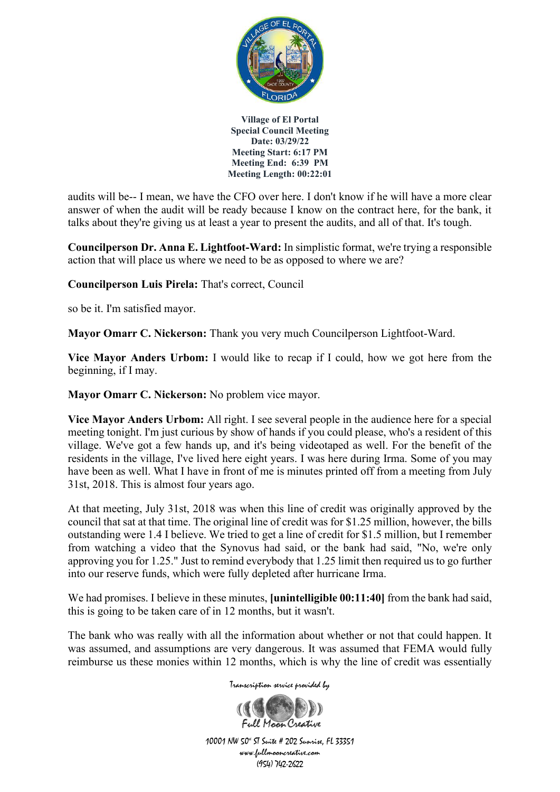

audits will be-- I mean, we have the CFO over here. I don't know if he will have a more clear answer of when the audit will be ready because I know on the contract here, for the bank, it talks about they're giving us at least a year to present the audits, and all of that. It's tough.

**Councilperson Dr. Anna E. Lightfoot-Ward:** In simplistic format, we're trying a responsible action that will place us where we need to be as opposed to where we are?

**Councilperson Luis Pirela:** That's correct, Council

so be it. I'm satisfied mayor.

**Mayor Omarr C. Nickerson:** Thank you very much Councilperson Lightfoot-Ward.

**Vice Mayor Anders Urbom:** I would like to recap if I could, how we got here from the beginning, if I may.

**Mayor Omarr C. Nickerson:** No problem vice mayor.

**Vice Mayor Anders Urbom:** All right. I see several people in the audience here for a special meeting tonight. I'm just curious by show of hands if you could please, who's a resident of this village. We've got a few hands up, and it's being videotaped as well. For the benefit of the residents in the village, I've lived here eight years. I was here during Irma. Some of you may have been as well. What I have in front of me is minutes printed off from a meeting from July 31st, 2018. This is almost four years ago.

At that meeting, July 31st, 2018 was when this line of credit was originally approved by the council that sat at that time. The original line of credit was for \$1.25 million, however, the bills outstanding were 1.4 I believe. We tried to get a line of credit for \$1.5 million, but I remember from watching a video that the Synovus had said, or the bank had said, "No, we're only approving you for 1.25." Just to remind everybody that 1.25 limit then required us to go further into our reserve funds, which were fully depleted after hurricane Irma.

We had promises. I believe in these minutes, **[unintelligible 00:11:40]** from the bank had said, this is going to be taken care of in 12 months, but it wasn't.

The bank who was really with all the information about whether or not that could happen. It was assumed, and assumptions are very dangerous. It was assumed that FEMA would fully reimburse us these monies within 12 months, which is why the line of credit was essentially

Transcription service provided by

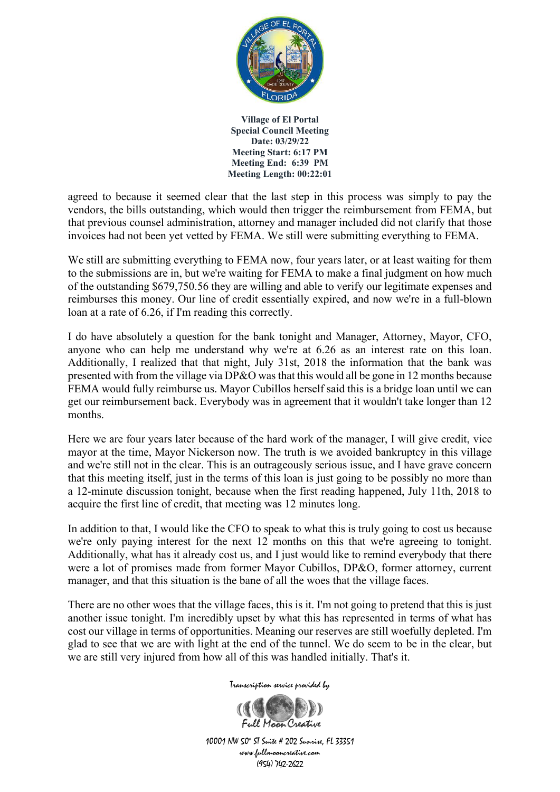

agreed to because it seemed clear that the last step in this process was simply to pay the vendors, the bills outstanding, which would then trigger the reimbursement from FEMA, but that previous counsel administration, attorney and manager included did not clarify that those invoices had not been yet vetted by FEMA. We still were submitting everything to FEMA.

We still are submitting everything to FEMA now, four years later, or at least waiting for them to the submissions are in, but we're waiting for FEMA to make a final judgment on how much of the outstanding \$679,750.56 they are willing and able to verify our legitimate expenses and reimburses this money. Our line of credit essentially expired, and now we're in a full-blown loan at a rate of 6.26, if I'm reading this correctly.

I do have absolutely a question for the bank tonight and Manager, Attorney, Mayor, CFO, anyone who can help me understand why we're at 6.26 as an interest rate on this loan. Additionally, I realized that that night, July 31st, 2018 the information that the bank was presented with from the village via DP&O was that this would all be gone in 12 months because FEMA would fully reimburse us. Mayor Cubillos herself said this is a bridge loan until we can get our reimbursement back. Everybody was in agreement that it wouldn't take longer than 12 months.

Here we are four years later because of the hard work of the manager, I will give credit, vice mayor at the time, Mayor Nickerson now. The truth is we avoided bankruptcy in this village and we're still not in the clear. This is an outrageously serious issue, and I have grave concern that this meeting itself, just in the terms of this loan is just going to be possibly no more than a 12-minute discussion tonight, because when the first reading happened, July 11th, 2018 to acquire the first line of credit, that meeting was 12 minutes long.

In addition to that, I would like the CFO to speak to what this is truly going to cost us because we're only paying interest for the next 12 months on this that we're agreeing to tonight. Additionally, what has it already cost us, and I just would like to remind everybody that there were a lot of promises made from former Mayor Cubillos, DP&O, former attorney, current manager, and that this situation is the bane of all the woes that the village faces.

There are no other woes that the village faces, this is it. I'm not going to pretend that this is just another issue tonight. I'm incredibly upset by what this has represented in terms of what has cost our village in terms of opportunities. Meaning our reserves are still woefully depleted. I'm glad to see that we are with light at the end of the tunnel. We do seem to be in the clear, but we are still very injured from how all of this was handled initially. That's it.

Transcription service provided by

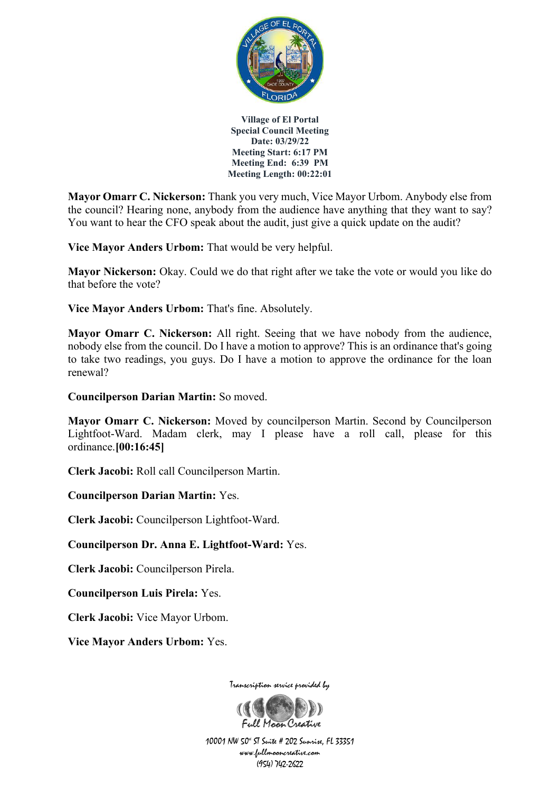

**Mayor Omarr C. Nickerson:** Thank you very much, Vice Mayor Urbom. Anybody else from the council? Hearing none, anybody from the audience have anything that they want to say? You want to hear the CFO speak about the audit, just give a quick update on the audit?

**Vice Mayor Anders Urbom:** That would be very helpful.

**Mayor Nickerson:** Okay. Could we do that right after we take the vote or would you like do that before the vote?

**Vice Mayor Anders Urbom:** That's fine. Absolutely.

**Mayor Omarr C. Nickerson:** All right. Seeing that we have nobody from the audience, nobody else from the council. Do I have a motion to approve? This is an ordinance that's going to take two readings, you guys. Do I have a motion to approve the ordinance for the loan renewal?

**Councilperson Darian Martin:** So moved.

**Mayor Omarr C. Nickerson:** Moved by councilperson Martin. Second by Councilperson Lightfoot-Ward. Madam clerk, may I please have a roll call, please for this ordinance.**[00:16:45]**

**Clerk Jacobi:** Roll call Councilperson Martin.

**Councilperson Darian Martin:** Yes.

**Clerk Jacobi:** Councilperson Lightfoot-Ward.

**Councilperson Dr. Anna E. Lightfoot-Ward:** Yes.

**Clerk Jacobi:** Councilperson Pirela.

**Councilperson Luis Pirela:** Yes.

**Clerk Jacobi:** Vice Mayor Urbom.

**Vice Mayor Anders Urbom:** Yes.

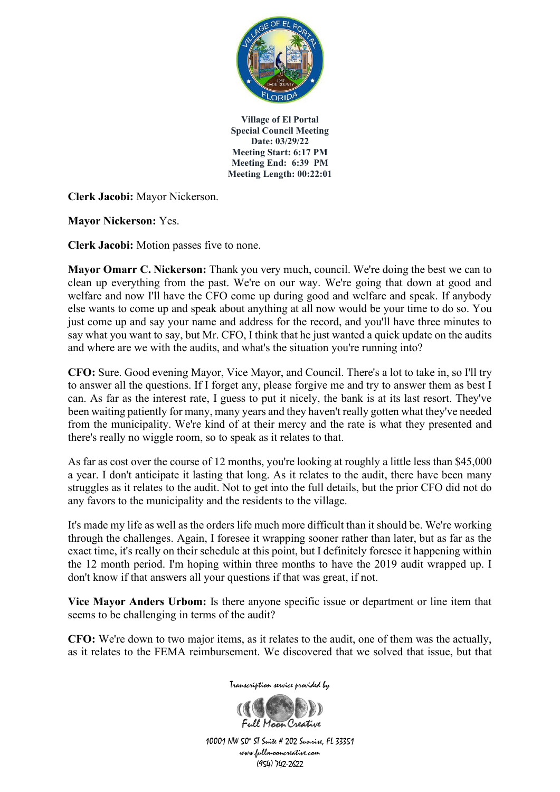

**Clerk Jacobi:** Mayor Nickerson.

**Mayor Nickerson:** Yes.

**Clerk Jacobi:** Motion passes five to none.

**Mayor Omarr C. Nickerson:** Thank you very much, council. We're doing the best we can to clean up everything from the past. We're on our way. We're going that down at good and welfare and now I'll have the CFO come up during good and welfare and speak. If anybody else wants to come up and speak about anything at all now would be your time to do so. You just come up and say your name and address for the record, and you'll have three minutes to say what you want to say, but Mr. CFO, I think that he just wanted a quick update on the audits and where are we with the audits, and what's the situation you're running into?

**CFO:** Sure. Good evening Mayor, Vice Mayor, and Council. There's a lot to take in, so I'll try to answer all the questions. If I forget any, please forgive me and try to answer them as best I can. As far as the interest rate, I guess to put it nicely, the bank is at its last resort. They've been waiting patiently for many, many years and they haven't really gotten what they've needed from the municipality. We're kind of at their mercy and the rate is what they presented and there's really no wiggle room, so to speak as it relates to that.

As far as cost over the course of 12 months, you're looking at roughly a little less than \$45,000 a year. I don't anticipate it lasting that long. As it relates to the audit, there have been many struggles as it relates to the audit. Not to get into the full details, but the prior CFO did not do any favors to the municipality and the residents to the village.

It's made my life as well as the orders life much more difficult than it should be. We're working through the challenges. Again, I foresee it wrapping sooner rather than later, but as far as the exact time, it's really on their schedule at this point, but I definitely foresee it happening within the 12 month period. I'm hoping within three months to have the 2019 audit wrapped up. I don't know if that answers all your questions if that was great, if not.

**Vice Mayor Anders Urbom:** Is there anyone specific issue or department or line item that seems to be challenging in terms of the audit?

**CFO:** We're down to two major items, as it relates to the audit, one of them was the actually, as it relates to the FEMA reimbursement. We discovered that we solved that issue, but that

Transcription service provided by

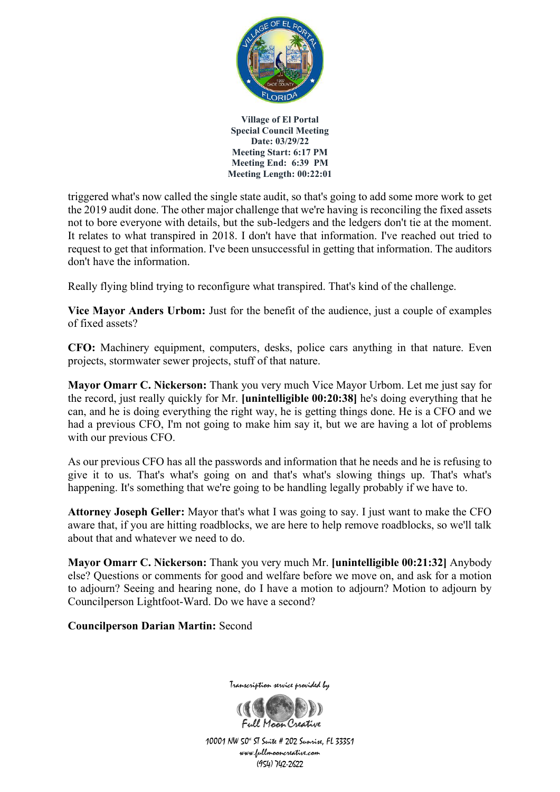

triggered what's now called the single state audit, so that's going to add some more work to get the 2019 audit done. The other major challenge that we're having is reconciling the fixed assets not to bore everyone with details, but the sub-ledgers and the ledgers don't tie at the moment. It relates to what transpired in 2018. I don't have that information. I've reached out tried to request to get that information. I've been unsuccessful in getting that information. The auditors don't have the information.

Really flying blind trying to reconfigure what transpired. That's kind of the challenge.

**Vice Mayor Anders Urbom:** Just for the benefit of the audience, just a couple of examples of fixed assets?

**CFO:** Machinery equipment, computers, desks, police cars anything in that nature. Even projects, stormwater sewer projects, stuff of that nature.

**Mayor Omarr C. Nickerson:** Thank you very much Vice Mayor Urbom. Let me just say for the record, just really quickly for Mr. **[unintelligible 00:20:38]** he's doing everything that he can, and he is doing everything the right way, he is getting things done. He is a CFO and we had a previous CFO, I'm not going to make him say it, but we are having a lot of problems with our previous CFO.

As our previous CFO has all the passwords and information that he needs and he is refusing to give it to us. That's what's going on and that's what's slowing things up. That's what's happening. It's something that we're going to be handling legally probably if we have to.

**Attorney Joseph Geller:** Mayor that's what I was going to say. I just want to make the CFO aware that, if you are hitting roadblocks, we are here to help remove roadblocks, so we'll talk about that and whatever we need to do.

**Mayor Omarr C. Nickerson:** Thank you very much Mr. **[unintelligible 00:21:32]** Anybody else? Questions or comments for good and welfare before we move on, and ask for a motion to adjourn? Seeing and hearing none, do I have a motion to adjourn? Motion to adjourn by Councilperson Lightfoot-Ward. Do we have a second?

**Councilperson Darian Martin:** Second